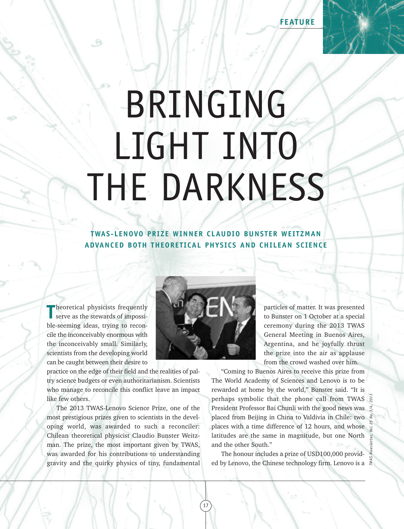**FEATURE**

## BRINGING LIGHT INTO THE DARKNESS

**TWAS-LENOVO PRIZE WINNER CLAUDIO BUNSTER WEITZMAN ADVANCED BOTH THEORET ICAL PHYSICS AND CHILEAN SCIENCE**

**T T**heoretical physicists frequently
serve as the stewards of impossiserve as the stewards of impossible-seeming ideas, trying to reconcile the inconceivably enormous with the inconceivably small. Similarly, scientists from the developing world can be caught between their desire to

practice on the edge of their field and the realities of paltry science budgets or even authoritarianism. Scientists who manage to reconcile this conflict leave an impact like few others.

The 2013 TWAS-Lenovo Science Prize, one of the most prestigious prizes given to scientists in the developing world, was awarded to such a reconciler: Chilean theoretical physicist Claudio Bunster Weitzman. The prize, the most important given by TWAS, was awarded for his contributions to understanding gravity and the quirky physics of tiny, fundamental



particles of matter. It was presented to Bunster on 1 October at a special ceremony during the 2013 TWAS General Meeting in Buenos Aires, Argentina, and he joyfully thrust the prize into the air as applause from the crowd washed over him.

*TWAS Newsletter, Vol. 25 No. 3/4, 2013*

"Coming to Buenos Aires to receive this prize from The World Academy of Sciences and Lenovo is to be rewarded at home by the world," Bunster said. "It is perhaps symbolic that the phone call from TWAS President Professor Bai Chunli with the good news was placed from Beijing in China to Valdivia in Chile: two places with a time difference of 12 hours, and whose latitudes are the same in magnitude, but one North and the other South."

The honour includes a prize of USD100,000 provided by Lenovo, the Chinese technology firm. Lenovo is a

17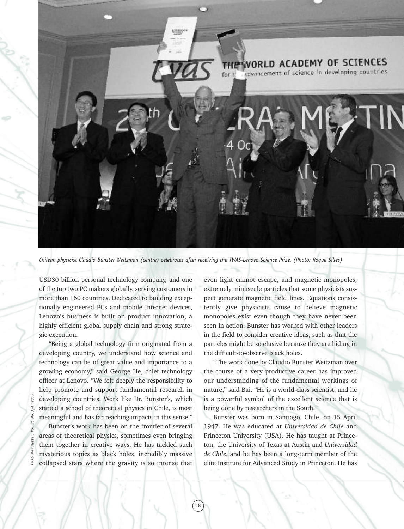

Chilean physicist Claudio Bunster Weitzman (centre) celebrates after receiving the TWAS-Lenovo Science Prize. (Photo: Roque Silles)

18

USD30 billion personal technology company, and one of the top two PC makers globally, serving customers in more than 160 countries. Dedicated to building exceptionally engineered PCs and mobile Internet devices, Lenovo's business is built on product innovation, a highly efficient global supply chain and strong strategic execution.

"Being a global technology firm originated from a developing country, we understand how science and technology can be of great value and importance to a growing economy," said George He, chief technology officer at Lenovo. "We felt deeply the responsibility to help promote and support fundamental research in developing countries. Work like Dr. Bunster's, which started a school of theoretical physics in Chile, is most meaningful and has far-reaching impacts in this sense."

Bunster's work has been on the frontier of several areas of theoretical physics, sometimes even bringing them together in creative ways. He has tackled such mysterious topics as black holes, incredibly massive collapsed stars where the gravity is so intense that

even light cannot escape, and magnetic monopoles, extremely minuscule particles that some physicists suspect generate magnetic field lines. Equations consistently give physicists cause to believe magnetic monopoles exist even though they have never been seen in action. Bunster has worked with other leaders in the field to consider creative ideas, such as that the particles might be so elusive because they are hiding in the difficult-to-observe black holes.

"The work done by Claudio Bunster Weitzman over the course of a very productive career has improved our understanding of the fundamental workings of nature," said Bai. "He is a world-class scientist, and he is a powerful symbol of the excellent science that is being done by researchers in the South."

Bunster was born in Santiago, Chile, on 15 April 1947. He was educated at *Universidad de Chile* and Princeton University (USA). He has taught at Princeton, the University of Texas at Austin and *Universidad de Chile*, and he has been a long-term member of the elite Institute for Advanced Study in Princeton. He has

*TWAS Newsletter, Vol. 25 No. 3/4, 2013* S 25 Inl.